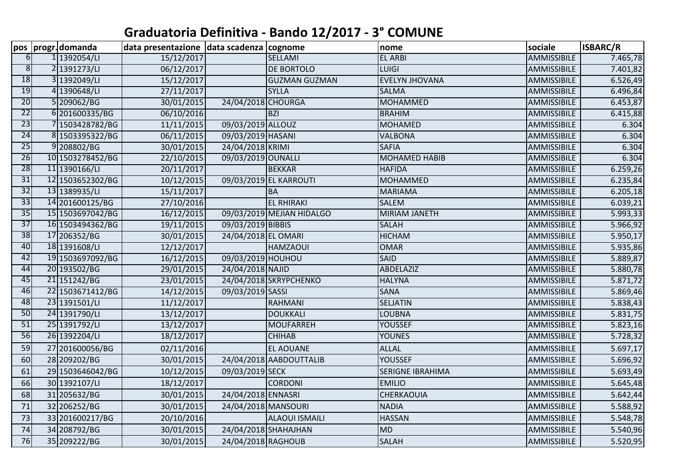## **Graduatoria Definitiva - Bando 12/2017 - 3° COMUNE**

|                         | pos  progr.domanda | data presentazione data scadenza cognome |                     |                           | nome                    | sociale            | <b>ISBARC/R</b> |
|-------------------------|--------------------|------------------------------------------|---------------------|---------------------------|-------------------------|--------------------|-----------------|
| 6 <sup>1</sup>          | 1 1392054/LI       | 15/12/2017                               |                     | SELLAMI                   | <b>EL ARBI</b>          | AMMISSIBILE        | 7.465,78        |
| $\overline{\mathbf{8}}$ | 2 1391273/LI       | 06/12/2017                               |                     | <b>DE BORTOLO</b>         | <b>LUIGI</b>            | AMMISSIBILE        | 7.401,82        |
| 18                      | 3 1392049/LI       | 15/12/2017                               |                     | <b>GUZMAN GUZMAN</b>      | <b>EVELYN JHOVANA</b>   | AMMISSIBILE        | 6.526,49        |
| 19                      | 4 1390648/LI       | 27/11/2017                               |                     | <b>SYLLA</b>              | <b>SALMA</b>            | <b>AMMISSIBILE</b> | 6.496,84        |
| 20                      | 5 209062/BG        | 30/01/2015                               | 24/04/2018 CHOURGA  |                           | <b>MOHAMMED</b>         | <b>AMMISSIBILE</b> | 6.453,87        |
| $\overline{22}$         | 6 201600335/BG     | 06/10/2016                               |                     | <b>BZI</b>                | <b>BRAHIM</b>           | AMMISSIBILE        | 6.415,88        |
| 23                      | 7 1503428782/BG    | 11/11/2015                               | 09/03/2019 ALLOUZ   |                           | <b>MOHAMED</b>          | <b>AMMISSIBILE</b> | 6.304           |
| 24                      | 8 1503395322/BG    | 06/11/2015                               | 09/03/2019 HASANI   |                           | <b>VALBONA</b>          | <b>AMMISSIBILE</b> | 6.304           |
| 25                      | 9208802/BG         | 30/01/2015                               | 24/04/2018 KRIMI    |                           | <b>SAFIA</b>            | <b>AMMISSIBILE</b> | 6.304           |
| 26                      | 10 1503278452/BG   | 22/10/2015                               | 09/03/2019 OUNALLI  |                           | <b>MOHAMED HABIB</b>    | <b>AMMISSIBILE</b> | 6.304           |
| 28                      | 11 1390166/LI      | 20/11/2017                               |                     | <b>BEKKAR</b>             | <b>HAFIDA</b>           | <b>AMMISSIBILE</b> | 6.259,26        |
| $\overline{31}$         | 12 1503652302/BG   | 10/12/2015                               |                     | 09/03/2019 EL KARROUTI    | <b>MOHAMMED</b>         | AMMISSIBILE        | 6.235,84        |
| $\overline{32}$         | 13 1389935/LI      | 15/11/2017                               |                     | <b>BA</b>                 | MARIAMA                 | AMMISSIBILE        | 6.205,18        |
| $\overline{33}$         | 14 201600125/BG    | 27/10/2016                               |                     | <b>EL RHIRAKI</b>         | <b>SALEM</b>            | <b>AMMISSIBILE</b> | 6.039,21        |
| 35                      | 15 1503697042/BG   | 16/12/2015                               |                     | 09/03/2019 MEJIAN HIDALGO | <b>MIRIAM JANETH</b>    | AMMISSIBILE        | 5.993,33        |
| $\overline{37}$         | 16 1503494362/BG   | 19/11/2015                               | 09/03/2019 BIBBIS   |                           | <b>SALAH</b>            | <b>AMMISSIBILE</b> | 5.966,92        |
| 38                      | 17 206352/BG       | 30/01/2015                               | 24/04/2018 EL OMARI |                           | <b>HICHAM</b>           | AMMISSIBILE        | 5.950,17        |
| 40                      | 18 1391608/LI      | 12/12/2017                               |                     | <b>HAMZAOUI</b>           | <b>OMAR</b>             | <b>AMMISSIBILE</b> | 5.935,86        |
| 42                      | 19 1503697092/BG   | 16/12/2015                               | 09/03/2019 HOUHOU   |                           | <b>SAID</b>             | <b>AMMISSIBILE</b> | 5.889,87        |
| 44                      | 20 193502/BG       | 29/01/2015                               | 24/04/2018 NAJID    |                           | ABDELAZIZ               | <b>AMMISSIBILE</b> | 5.880,78        |
| 45                      | 21 151242/BG       | 23/01/2015                               |                     | 24/04/2018 SKRYPCHENKO    | <b>HALYNA</b>           | <b>AMMISSIBILE</b> | 5.871,72        |
| 46                      | 22 1503671412/BG   | 14/12/2015                               | 09/03/2019 SASSI    |                           | <b>SANA</b>             | <b>AMMISSIBILE</b> | 5.869,46        |
| 48                      | 23 1391501/LI      | 11/12/2017                               |                     | RAHMANI                   | <b>SELJATIN</b>         | AMMISSIBILE        | 5.838,43        |
| 50                      | 24 1391790/LI      | 13/12/2017                               |                     | <b>DOUKKALI</b>           | <b>LOUBNA</b>           | <b>AMMISSIBILE</b> | 5.831,75        |
| 51                      | 25 1391792/LI      | 13/12/2017                               |                     | <b>MOUFARREH</b>          | <b>YOUSSEF</b>          | <b>AMMISSIBILE</b> | 5.823,16        |
| 56                      | 26 1392204/LI      | 18/12/2017                               |                     | <b>CHIHAB</b>             | <b>YOUNES</b>           | <b>AMMISSIBILE</b> | 5.728,32        |
| 59                      | 27 201600056/BG    | 02/11/2016                               |                     | <b>EL AOUANE</b>          | <b>ALLAL</b>            | AMMISSIBILE        | 5.697,17        |
| 60                      | 28 209202/BG       | 30/01/2015                               |                     | 24/04/2018 AABDOUTTALIB   | <b>YOUSSEF</b>          | AMMISSIBILE        | 5.696,92        |
| 61                      | 29 1503646042/BG   | 10/12/2015                               | 09/03/2019 SECK     |                           | <b>SERIGNE IBRAHIMA</b> | AMMISSIBILE        | 5.693,49        |
| 66                      | 30 1392107/LI      | 18/12/2017                               |                     | <b>CORDONI</b>            | <b>EMILIO</b>           | AMMISSIBILE        | 5.645,48        |
| 68                      | 31 205632/BG       | 30/01/2015                               | 24/04/2018 ENNASRI  |                           | CHERKAOUIA              | AMMISSIBILE        | 5.642,44        |
| 71                      | 32 206252/BG       | 30/01/2015                               | 24/04/2018 MANSOURI |                           | <b>NADIA</b>            | AMMISSIBILE        | 5.588,92        |
| 73                      | 33 201600217/BG    | 20/10/2016                               |                     | <b>ALAOUI ISMAILI</b>     | <b>HASSAN</b>           | AMMISSIBILE        | 5.548,78        |
| 74                      | 34 208792/BG       | 30/01/2015                               |                     | 24/04/2018 SHAHAJHAN      | <b>MD</b>               | AMMISSIBILE        | 5.540,96        |
| 76                      | 35 209222/BG       | 30/01/2015                               | 24/04/2018 RAGHOUB  |                           | <b>SALAH</b>            | AMMISSIBILE        | 5.520,95        |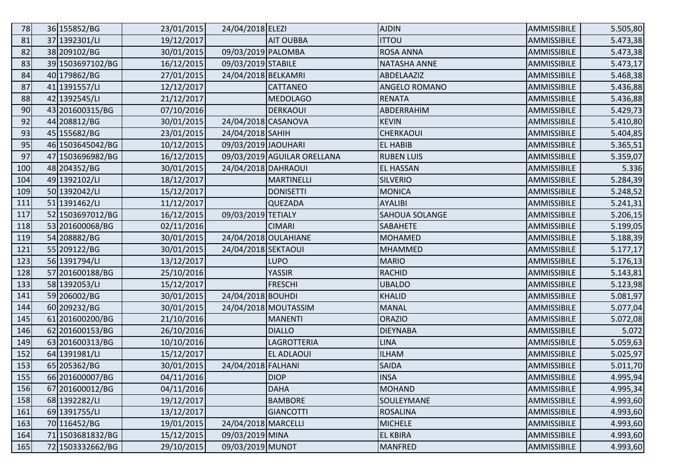| 78  | 36 155852/BG     | 23/01/2015 | 24/04/2018 ELEZI    |                             | <b>AJDIN</b>        | <b>AMMISSIBILE</b> | 5.505,80 |
|-----|------------------|------------|---------------------|-----------------------------|---------------------|--------------------|----------|
| 81  | 37 1392301/LI    | 19/12/2017 |                     | <b>AIT OUBBA</b>            | <b>ITTOU</b>        | AMMISSIBILE        | 5.473,38 |
| 82  | 38 209102/BG     | 30/01/2015 | 09/03/2019 PALOMBA  |                             | <b>ROSA ANNA</b>    | AMMISSIBILE        | 5.473,38 |
| 83  | 39 1503697102/BG | 16/12/2015 | 09/03/2019 STABILE  |                             | <b>NATASHA ANNE</b> | AMMISSIBILE        | 5.473,17 |
| 84  | 40 179862/BG     | 27/01/2015 | 24/04/2018 BELKAMRI |                             | ABDELAAZIZ          | AMMISSIBILE        | 5.468,38 |
| 87  | 41 1391557/LI    | 12/12/2017 |                     | <b>CATTANEO</b>             | ANGELO ROMANO       | AMMISSIBILE        | 5.436,88 |
| 88  | 42 1392545/LI    | 21/12/2017 |                     | <b>MEDOLAGO</b>             | <b>RENATA</b>       | AMMISSIBILE        | 5.436,88 |
| 90  | 43 201600315/BG  | 07/10/2016 |                     | <b>DERKAOUI</b>             | ABDERRAHIM          | AMMISSIBILE        | 5.429,73 |
| 92  | 44 208812/BG     | 30/01/2015 | 24/04/2018 CASANOVA |                             | <b>KEVIN</b>        | AMMISSIBILE        | 5.410,80 |
| 93  | 45 155682/BG     | 23/01/2015 | 24/04/2018 SAHIH    |                             | CHERKAOUI           | AMMISSIBILE        | 5.404,85 |
| 95  | 46 1503645042/BG | 10/12/2015 | 09/03/2019 JAOUHARI |                             | <b>EL HABIB</b>     | AMMISSIBILE        | 5.365,51 |
| 97  | 47 1503696982/BG | 16/12/2015 |                     | 09/03/2019 AGUILAR ORELLANA | <b>RUBEN LUIS</b>   | AMMISSIBILE        | 5.359,07 |
| 100 | 48 204352/BG     | 30/01/2015 | 24/04/2018 DAHRAOUI |                             | <b>EL HASSAN</b>    | AMMISSIBILE        | 5.336    |
| 104 | 49 1392102/LI    | 18/12/2017 |                     | <b>MARTINELLI</b>           | <b>SILVERIO</b>     | AMMISSIBILE        | 5.284,39 |
| 109 | 50 1392042/LI    | 15/12/2017 |                     | <b>DONISETTI</b>            | <b>MONICA</b>       | AMMISSIBILE        | 5.248,52 |
| 111 | 51 1391462/LI    | 11/12/2017 |                     | <b>QUEZADA</b>              | <b>AYALIBI</b>      | AMMISSIBILE        | 5.241,31 |
| 117 | 52 1503697012/BG | 16/12/2015 | 09/03/2019 TETIALY  |                             | SAHOUA SOLANGE      | AMMISSIBILE        | 5.206,15 |
| 118 | 53 201600068/BG  | 02/11/2016 |                     | <b>CIMARI</b>               | <b>SABAHETE</b>     | AMMISSIBILE        | 5.199,05 |
| 119 | 54 208882/BG     | 30/01/2015 |                     | 24/04/2018 OULAHIANE        | <b>MOHAMED</b>      | AMMISSIBILE        | 5.188,39 |
| 121 | 55 209122/BG     | 30/01/2015 | 24/04/2018 SEKTAOUI |                             | <b>MHAMMED</b>      | AMMISSIBILE        | 5.177,17 |
| 123 | 56 1391794/LI    | 13/12/2017 |                     | <b>LUPO</b>                 | MARIO               | AMMISSIBILE        | 5.176,13 |
| 128 | 57 201600188/BG  | 25/10/2016 |                     | YASSIR                      | <b>RACHID</b>       | AMMISSIBILE        | 5.143,81 |
| 133 | 58 1392053/LI    | 15/12/2017 |                     | <b>FRESCHI</b>              | <b>UBALDO</b>       | AMMISSIBILE        | 5.123,98 |
| 141 | 59 206002/BG     | 30/01/2015 | 24/04/2018 BOUHDI   |                             | <b>KHALID</b>       | AMMISSIBILE        | 5.081,97 |
| 144 | 60 209232/BG     | 30/01/2015 |                     | 24/04/2018 MOUTASSIM        | <b>MANAL</b>        | AMMISSIBILE        | 5.077,04 |
| 145 | 61 201600200/BG  | 21/10/2016 |                     | <b>MANENTI</b>              | <b>ORAZIO</b>       | AMMISSIBILE        | 5.072,08 |
| 146 | 62 201600153/BG  | 26/10/2016 |                     | <b>DIALLO</b>               | <b>DIEYNABA</b>     | AMMISSIBILE        | 5.072    |
| 149 | 63 201600313/BG  | 10/10/2016 |                     | LAGROTTERIA                 | <b>LINA</b>         | AMMISSIBILE        | 5.059,63 |
| 152 | 64 1391981/LI    | 15/12/2017 |                     | <b>EL ADLAOUI</b>           | <b>ILHAM</b>        | AMMISSIBILE        | 5.025,97 |
| 153 | 65 205362/BG     | 30/01/2015 | 24/04/2018 FALHANI  |                             | <b>SAIDA</b>        | <b>AMMISSIBILE</b> | 5.011,70 |
| 155 | 66 201600007/BG  | 04/11/2016 |                     | <b>DIOP</b>                 | <b>INSA</b>         | AMMISSIBILE        | 4.995,94 |
| 156 | 67 201600012/BG  | 04/11/2016 |                     | <b>DAHA</b>                 | <b>MOHAND</b>       | AMMISSIBILE        | 4.995,34 |
| 158 | 68 1392282/LI    | 19/12/2017 |                     | <b>BAMBORE</b>              | SOULEYMANE          | AMMISSIBILE        | 4.993,60 |
| 161 | 69 1391755/LI    | 13/12/2017 |                     | <b>GIANCOTTI</b>            | <b>ROSALINA</b>     | AMMISSIBILE        | 4.993,60 |
| 163 | 70 116452/BG     | 19/01/2015 | 24/04/2018 MARCELLI |                             | <b>MICHELE</b>      | AMMISSIBILE        | 4.993,60 |
| 164 | 71 1503681832/BG | 15/12/2015 | 09/03/2019 MINA     |                             | <b>EL KBIRA</b>     | AMMISSIBILE        | 4.993,60 |
| 165 | 72 1503332662/BG | 29/10/2015 | 09/03/2019 MUNDT    |                             | MANFRED             | AMMISSIBILE        | 4.993,60 |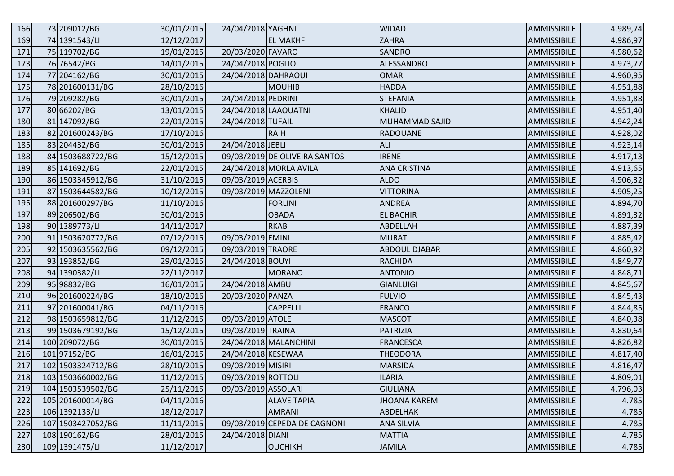| 166 | 73 209012/BG      | 30/01/2015 | 24/04/2018 YAGHNI    |                               | <b>WIDAD</b>         | AMMISSIBILE | 4.989,74 |
|-----|-------------------|------------|----------------------|-------------------------------|----------------------|-------------|----------|
| 169 | 74 1391543/LI     | 12/12/2017 |                      | <b>EL MAKHFI</b>              | <b>ZAHRA</b>         | AMMISSIBILE | 4.986,97 |
| 171 | 75 119702/BG      | 19/01/2015 | 20/03/2020 FAVARO    |                               | SANDRO               | AMMISSIBILE | 4.980,62 |
| 173 | 76 76542/BG       | 14/01/2015 | 24/04/2018 POGLIO    |                               | ALESSANDRO           | AMMISSIBILE | 4.973,77 |
| 174 | 77 204162/BG      | 30/01/2015 | 24/04/2018 DAHRAOUI  |                               | <b>OMAR</b>          | AMMISSIBILE | 4.960,95 |
| 175 | 78 201600131/BG   | 28/10/2016 |                      | <b>MOUHIB</b>                 | <b>HADDA</b>         | AMMISSIBILE | 4.951,88 |
| 176 | 79 209282/BG      | 30/01/2015 | 24/04/2018 PEDRINI   |                               | <b>STEFANIA</b>      | AMMISSIBILE | 4.951,88 |
| 177 | 80 66202/BG       | 13/01/2015 | 24/04/2018 LAAOUATNI |                               | <b>KHALID</b>        | AMMISSIBILE | 4.951,40 |
| 180 | 81 147092/BG      | 22/01/2015 | 24/04/2018 TUFAIL    |                               | MUHAMMAD SAJID       | AMMISSIBILE | 4.942,24 |
| 183 | 82 201600243/BG   | 17/10/2016 |                      | <b>RAIH</b>                   | <b>RADOUANE</b>      | AMMISSIBILE | 4.928,02 |
| 185 | 83 204432/BG      | 30/01/2015 | 24/04/2018 JEBLI     |                               | <b>ALI</b>           | AMMISSIBILE | 4.923,14 |
| 188 | 84 1503688722/BG  | 15/12/2015 |                      | 09/03/2019 DE OLIVEIRA SANTOS | <b>IRENE</b>         | AMMISSIBILE | 4.917,13 |
| 189 | 85 141692/BG      | 22/01/2015 |                      | 24/04/2018 MORLA AVILA        | <b>ANA CRISTINA</b>  | AMMISSIBILE | 4.913,65 |
| 190 | 86 1503345912/BG  | 31/10/2015 | 09/03/2019 ACERBIS   |                               | <b>ALDO</b>          | AMMISSIBILE | 4.906,32 |
| 191 | 87 1503644582/BG  | 10/12/2015 | 09/03/2019 MAZZOLENI |                               | <b>VITTORINA</b>     | AMMISSIBILE | 4.905,25 |
| 195 | 88 201600297/BG   | 11/10/2016 |                      | <b>FORLINI</b>                | <b>ANDREA</b>        | AMMISSIBILE | 4.894,70 |
| 197 | 89 206502/BG      | 30/01/2015 |                      | <b>OBADA</b>                  | <b>EL BACHIR</b>     | AMMISSIBILE | 4.891,32 |
| 198 | 90 1389773/LI     | 14/11/2017 |                      | <b>RKAB</b>                   | <b>ABDELLAH</b>      | AMMISSIBILE | 4.887,39 |
| 200 | 91 1503620772/BG  | 07/12/2015 | 09/03/2019 EMINI     |                               | <b>MURAT</b>         | AMMISSIBILE | 4.885,42 |
| 205 | 92 1503635562/BG  | 09/12/2015 | 09/03/2019 TRAORE    |                               | <b>ABDOUL DJABAR</b> | AMMISSIBILE | 4.860,92 |
| 207 | 93 193852/BG      | 29/01/2015 | 24/04/2018 BOUYI     |                               | <b>RACHIDA</b>       | AMMISSIBILE | 4.849,77 |
| 208 | 94 1390382/LI     | 22/11/2017 |                      | <b>MORANO</b>                 | <b>ANTONIO</b>       | AMMISSIBILE | 4.848,71 |
| 209 | 95 98832/BG       | 16/01/2015 | 24/04/2018 AMBU      |                               | <b>GIANLUIGI</b>     | AMMISSIBILE | 4.845,67 |
| 210 | 96 201600224/BG   | 18/10/2016 | 20/03/2020 PANZA     |                               | <b>FULVIO</b>        | AMMISSIBILE | 4.845,43 |
| 211 | 97 201600041/BG   | 04/11/2016 |                      | <b>CAPPELLI</b>               | <b>FRANCO</b>        | AMMISSIBILE | 4.844,85 |
| 212 | 98 1503659812/BG  | 11/12/2015 | 09/03/2019 ATOLE     |                               | <b>MASCOT</b>        | AMMISSIBILE | 4.840,38 |
| 213 | 99 1503679192/BG  | 15/12/2015 | 09/03/2019 TRAINA    |                               | PATRIZIA             | AMMISSIBILE | 4.830,64 |
| 214 | 100 209072/BG     | 30/01/2015 |                      | 24/04/2018 MALANCHINI         | <b>FRANCESCA</b>     | AMMISSIBILE | 4.826,82 |
| 216 | 10197152/BG       | 16/01/2015 | 24/04/2018 KESEWAA   |                               | THEODORA             | AMMISSIBILE | 4.817,40 |
| 217 | 102 1503324712/BG | 28/10/2015 | 09/03/2019 MISIRI    |                               | <b>MARSIDA</b>       | AMMISSIBILE | 4.816,47 |
| 218 | 103 1503660002/BG | 11/12/2015 | 09/03/2019 ROTTOLI   |                               | <b>ILARIA</b>        | AMMISSIBILE | 4.809,01 |
| 219 | 104 1503539502/BG | 25/11/2015 | 09/03/2019 ASSOLARI  |                               | <b>GIULIANA</b>      | AMMISSIBILE | 4.796,03 |
| 222 | 105 201600014/BG  | 04/11/2016 |                      | <b>ALAVE TAPIA</b>            | <b>JHOANA KAREM</b>  | AMMISSIBILE | 4.785    |
| 223 | 106 1392133/LI    | 18/12/2017 |                      | <b>AMRANI</b>                 | ABDELHAK             | AMMISSIBILE | 4.785    |
| 226 | 107 1503427052/BG | 11/11/2015 |                      | 09/03/2019 CEPEDA DE CAGNONI  | <b>ANA SILVIA</b>    | AMMISSIBILE | 4.785    |
| 227 | 108 190162/BG     | 28/01/2015 | 24/04/2018 DIANI     |                               | <b>MATTIA</b>        | AMMISSIBILE | 4.785    |
| 230 | 109 1391475/LI    | 11/12/2017 |                      | OUCHIKH                       | <b>JAMILA</b>        | AMMISSIBILE | 4.785    |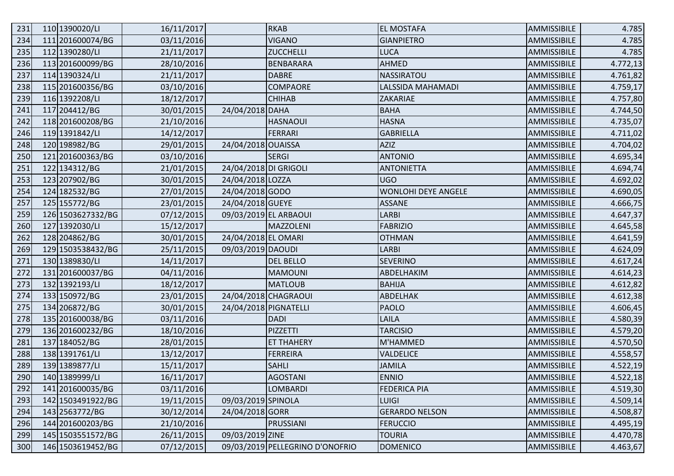| 231 | 110 1390020/LI    | 16/11/2017 |                       | <b>RKAB</b>                     | <b>EL MOSTAFA</b>          | AMMISSIBILE | 4.785    |
|-----|-------------------|------------|-----------------------|---------------------------------|----------------------------|-------------|----------|
| 234 | 111 201600074/BG  | 03/11/2016 |                       | <b>VIGANO</b>                   | <b>GIANPIETRO</b>          | AMMISSIBILE | 4.785    |
| 235 | 112 1390280/LI    | 21/11/2017 |                       | <b>ZUCCHELLI</b>                | LUCA                       | AMMISSIBILE | 4.785    |
| 236 | 113 201600099/BG  | 28/10/2016 |                       | <b>BENBARARA</b>                | AHMED                      | AMMISSIBILE | 4.772,13 |
| 237 | 114 1390324/LI    | 21/11/2017 |                       | <b>DABRE</b>                    | NASSIRATOU                 | AMMISSIBILE | 4.761,82 |
| 238 | 115 201600356/BG  | 03/10/2016 |                       | <b>COMPAORE</b>                 | LALSSIDA MAHAMADI          | AMMISSIBILE | 4.759,17 |
| 239 | 116 1392208/LI    | 18/12/2017 |                       | <b>CHIHAB</b>                   | <b>ZAKARIAE</b>            | AMMISSIBILE | 4.757,80 |
| 241 | 117 204412/BG     | 30/01/2015 | 24/04/2018 DAHA       |                                 | <b>BAHA</b>                | AMMISSIBILE | 4.744,50 |
| 242 | 118 201600208/BG  | 21/10/2016 |                       | <b>HASNAOUI</b>                 | <b>HASNA</b>               | AMMISSIBILE | 4.735,07 |
| 246 | 119 1391842/LI    | 14/12/2017 |                       | <b>FERRARI</b>                  | <b>GABRIELLA</b>           | AMMISSIBILE | 4.711,02 |
| 248 | 120 198982/BG     | 29/01/2015 | 24/04/2018 OUAISSA    |                                 | <b>AZIZ</b>                | AMMISSIBILE | 4.704,02 |
| 250 | 121 201600363/BG  | 03/10/2016 |                       | <b>SERGI</b>                    | <b>ANTONIO</b>             | AMMISSIBILE | 4.695,34 |
| 251 | 122 134312/BG     | 21/01/2015 | 24/04/2018 DI GRIGOLI |                                 | <b>ANTONIETTA</b>          | AMMISSIBILE | 4.694,74 |
| 253 | 123 207902/BG     | 30/01/2015 | 24/04/2018 LOZZA      |                                 | <b>UGO</b>                 | AMMISSIBILE | 4.692,02 |
| 254 | 124 182532/BG     | 27/01/2015 | 24/04/2018 GODO       |                                 | <b>WONLOHI DEYE ANGELE</b> | AMMISSIBILE | 4.690,05 |
| 257 | 125 155772/BG     | 23/01/2015 | 24/04/2018 GUEYE      |                                 | <b>ASSANE</b>              | AMMISSIBILE | 4.666,75 |
| 259 | 126 1503627332/BG | 07/12/2015 |                       | 09/03/2019 EL ARBAOUI           | <b>LARBI</b>               | AMMISSIBILE | 4.647,37 |
| 260 | 127 1392030/LI    | 15/12/2017 |                       | MAZZOLENI                       | <b>FABRIZIO</b>            | AMMISSIBILE | 4.645,58 |
| 262 | 128 204862/BG     | 30/01/2015 | 24/04/2018 EL OMARI   |                                 | <b>OTHMAN</b>              | AMMISSIBILE | 4.641,59 |
| 269 | 129 1503538432/BG | 25/11/2015 | 09/03/2019 DAOUDI     |                                 | <b>LARBI</b>               | AMMISSIBILE | 4.624,09 |
| 271 | 130 1389830/LI    | 14/11/2017 |                       | <b>DEL BELLO</b>                | <b>SEVERINO</b>            | AMMISSIBILE | 4.617,24 |
| 272 | 131 201600037/BG  | 04/11/2016 |                       | <b>MAMOUNI</b>                  | ABDELHAKIM                 | AMMISSIBILE | 4.614,23 |
| 273 | 132 1392193/LI    | 18/12/2017 |                       | <b>MATLOUB</b>                  | <b>BAHIJA</b>              | AMMISSIBILE | 4.612,82 |
| 274 | 133 150972/BG     | 23/01/2015 |                       | 24/04/2018 CHAGRAOUI            | ABDELHAK                   | AMMISSIBILE | 4.612,38 |
| 275 | 134 206872/BG     | 30/01/2015 | 24/04/2018 PIGNATELLI |                                 | PAOLO                      | AMMISSIBILE | 4.606,45 |
| 278 | 135 201600038/BG  | 03/11/2016 |                       | DADI                            | <b>LAILA</b>               | AMMISSIBILE | 4.580,39 |
| 279 | 136 201600232/BG  | 18/10/2016 |                       | PIZZETTI                        | <b>TARCISIO</b>            | AMMISSIBILE | 4.579,20 |
| 281 | 137 184052/BG     | 28/01/2015 |                       | <b>ET THAHERY</b>               | M'HAMMED                   | AMMISSIBILE | 4.570,50 |
| 288 | 138 1391761/LI    | 13/12/2017 |                       | <b>FERREIRA</b>                 | VALDELICE                  | AMMISSIBILE | 4.558,57 |
| 289 | 139 1389877/LI    | 15/11/2017 |                       | <b>SAHLI</b>                    | <b>JAMILA</b>              | AMMISSIBILE | 4.522,19 |
| 290 | 140 1389999/LI    | 16/11/2017 |                       | <b>AGOSTANI</b>                 | <b>ENNIO</b>               | AMMISSIBILE | 4.522,18 |
| 292 | 141 201600035/BG  | 03/11/2016 |                       | <b>LOMBARDI</b>                 | <b>FEDERICA PIA</b>        | AMMISSIBILE | 4.519,30 |
| 293 | 142 1503491922/BG | 19/11/2015 | 09/03/2019 SPINOLA    |                                 | <b>LUIGI</b>               | AMMISSIBILE | 4.509,14 |
| 294 | 143 2563772/BG    | 30/12/2014 | 24/04/2018 GORR       |                                 | <b>GERARDO NELSON</b>      | AMMISSIBILE | 4.508,87 |
| 296 | 144 201600203/BG  | 21/10/2016 |                       | PRUSSIANI                       | <b>FERUCCIO</b>            | AMMISSIBILE | 4.495,19 |
| 299 | 145 1503551572/BG | 26/11/2015 | 09/03/2019 ZINE       |                                 | <b>TOURIA</b>              | AMMISSIBILE | 4.470,78 |
| 300 | 146 1503619452/BG | 07/12/2015 |                       | 09/03/2019 PELLEGRINO D'ONOFRIO | <b>DOMENICO</b>            | AMMISSIBILE | 4.463,67 |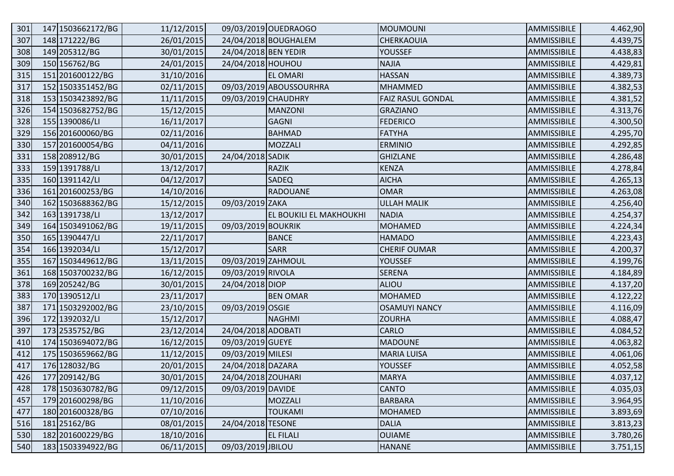| 301 | 147 1503662172/BG | 11/12/2015 |                      | 09/03/2019 OUEDRAOGO           | <b>MOUMOUNI</b>          | AMMISSIBILE | 4.462,90 |
|-----|-------------------|------------|----------------------|--------------------------------|--------------------------|-------------|----------|
| 307 | 148 171222/BG     | 26/01/2015 |                      | 24/04/2018 BOUGHALEM           | CHERKAOUIA               | AMMISSIBILE | 4.439,75 |
| 308 | 149 205312/BG     | 30/01/2015 | 24/04/2018 BEN YEDIR |                                | <b>YOUSSEF</b>           | AMMISSIBILE | 4.438,83 |
| 309 | 150 156762/BG     | 24/01/2015 | 24/04/2018 HOUHOU    |                                | <b>NAJIA</b>             | AMMISSIBILE | 4.429,81 |
| 315 | 151 201600122/BG  | 31/10/2016 |                      | <b>EL OMARI</b>                | <b>HASSAN</b>            | AMMISSIBILE | 4.389,73 |
| 317 | 152 1503351452/BG | 02/11/2015 |                      | 09/03/2019 ABOUSSOURHRA        | <b>MHAMMED</b>           | AMMISSIBILE | 4.382,53 |
| 318 | 153 1503423892/BG | 11/11/2015 | 09/03/2019 CHAUDHRY  |                                | <b>FAIZ RASUL GONDAL</b> | AMMISSIBILE | 4.381,52 |
| 326 | 154 1503682752/BG | 15/12/2015 |                      | <b>MANZONI</b>                 | <b>GRAZIANO</b>          | AMMISSIBILE | 4.313,76 |
| 328 | 155 1390086/LI    | 16/11/2017 |                      | <b>GAGNI</b>                   | <b>FEDERICO</b>          | AMMISSIBILE | 4.300,50 |
| 329 | 156 201600060/BG  | 02/11/2016 |                      | <b>BAHMAD</b>                  | <b>FATYHA</b>            | AMMISSIBILE | 4.295,70 |
| 330 | 157 201600054/BG  | 04/11/2016 |                      | <b>MOZZALI</b>                 | <b>ERMINIO</b>           | AMMISSIBILE | 4.292,85 |
| 331 | 158 208912/BG     | 30/01/2015 | 24/04/2018 SADIK     |                                | <b>GHIZLANE</b>          | AMMISSIBILE | 4.286,48 |
| 333 | 159 1391788/LI    | 13/12/2017 |                      | <b>RAZIK</b>                   | <b>KENZA</b>             | AMMISSIBILE | 4.278,84 |
| 335 | 160 1391142/LI    | 04/12/2017 |                      | <b>SADEQ</b>                   | <b>AICHA</b>             | AMMISSIBILE | 4.265,13 |
| 336 | 161 201600253/BG  | 14/10/2016 |                      | <b>RADOUANE</b>                | <b>OMAR</b>              | AMMISSIBILE | 4.263,08 |
| 340 | 162 1503688362/BG | 15/12/2015 | 09/03/2019 ZAKA      |                                | <b>ULLAH MALIK</b>       | AMMISSIBILE | 4.256,40 |
| 342 | 163 1391738/LI    | 13/12/2017 |                      | <b>EL BOUKILI EL MAKHOUKHI</b> | <b>NADIA</b>             | AMMISSIBILE | 4.254,37 |
| 349 | 164 1503491062/BG | 19/11/2015 | 09/03/2019 BOUKRIK   |                                | <b>MOHAMED</b>           | AMMISSIBILE | 4.224,34 |
| 350 | 165 1390447/LI    | 22/11/2017 |                      | <b>BANCE</b>                   | <b>HAMADO</b>            | AMMISSIBILE | 4.223,43 |
| 354 | 166 1392034/LI    | 15/12/2017 |                      | <b>SARR</b>                    | <b>CHERIF OUMAR</b>      | AMMISSIBILE | 4.200,37 |
| 355 | 167 1503449612/BG | 13/11/2015 | 09/03/2019 ZAHMOUL   |                                | YOUSSEF                  | AMMISSIBILE | 4.199,76 |
| 361 | 168 1503700232/BG | 16/12/2015 | 09/03/2019 RIVOLA    |                                | <b>SERENA</b>            | AMMISSIBILE | 4.184,89 |
| 378 | 169 205242/BG     | 30/01/2015 | 24/04/2018 DIOP      |                                | <b>ALIOU</b>             | AMMISSIBILE | 4.137,20 |
| 383 | 170 1390512/LI    | 23/11/2017 |                      | <b>BEN OMAR</b>                | <b>MOHAMED</b>           | AMMISSIBILE | 4.122,22 |
| 387 | 171 1503292002/BG | 23/10/2015 | 09/03/2019 OSGIE     |                                | <b>OSAMUYI NANCY</b>     | AMMISSIBILE | 4.116,09 |
| 396 | 172 1392032/LI    | 15/12/2017 |                      | <b>NAGHMI</b>                  | <b>ZOURHA</b>            | AMMISSIBILE | 4.088,47 |
| 397 | 173 2535752/BG    | 23/12/2014 | 24/04/2018 ADOBATI   |                                | <b>CARLO</b>             | AMMISSIBILE | 4.084,52 |
| 410 | 174 1503694072/BG | 16/12/2015 | 09/03/2019 GUEYE     |                                | <b>MADOUNE</b>           | AMMISSIBILE | 4.063,82 |
| 412 | 175 1503659662/BG | 11/12/2015 | 09/03/2019 MILESI    |                                | <b>MARIA LUISA</b>       | AMMISSIBILE | 4.061,06 |
| 417 | 176 128032/BG     | 20/01/2015 | 24/04/2018 DAZARA    |                                | YOUSSEF                  | AMMISSIBILE | 4.052,58 |
| 426 | 177 209142/BG     | 30/01/2015 | 24/04/2018 ZOUHARI   |                                | <b>MARYA</b>             | AMMISSIBILE | 4.037,12 |
| 428 | 178 1503630782/BG | 09/12/2015 | 09/03/2019 DAVIDE    |                                | <b>CANTO</b>             | AMMISSIBILE | 4.035,03 |
| 457 | 179 201600298/BG  | 11/10/2016 |                      | MOZZALI                        | <b>BARBARA</b>           | AMMISSIBILE | 3.964,95 |
| 477 | 180 201600328/BG  | 07/10/2016 |                      | <b>TOUKAMI</b>                 | <b>MOHAMED</b>           | AMMISSIBILE | 3.893,69 |
| 516 | 181 25162/BG      | 08/01/2015 | 24/04/2018 TESONE    |                                | <b>DALIA</b>             | AMMISSIBILE | 3.813,23 |
| 530 | 182 201600229/BG  | 18/10/2016 |                      | <b>EL FILALI</b>               | <b>OUIAME</b>            | AMMISSIBILE | 3.780,26 |
| 540 | 183 1503394922/BG | 06/11/2015 | 09/03/2019 JBILOU    |                                | <b>HANANE</b>            | AMMISSIBILE | 3.751,15 |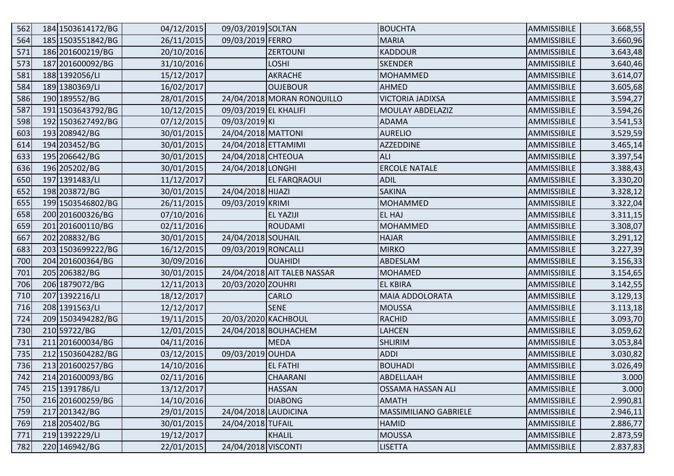| 562 | 184 1503614172/BG | 04/12/2015 | 09/03/2019 SOLTAN     |                             | <b>BOUCHTA</b>           | AMMISSIBILE | 3.668,55 |
|-----|-------------------|------------|-----------------------|-----------------------------|--------------------------|-------------|----------|
| 564 | 185 1503551842/BG | 26/11/2015 | 09/03/2019 FERRO      |                             | <b>MARIA</b>             | AMMISSIBILE | 3.660,96 |
| 571 | 186 201600219/BG  | 20/10/2016 |                       | <b>ZERTOUNI</b>             | <b>KADDOUR</b>           | AMMISSIBILE | 3.643,48 |
| 573 | 187 201600092/BG  | 31/10/2016 |                       | <b>LOSHI</b>                | <b>SKENDER</b>           | AMMISSIBILE | 3.640,46 |
| 581 | 188 1392056/LI    | 15/12/2017 |                       | AKRACHE                     | <b>MOHAMMED</b>          | AMMISSIBILE | 3.614,07 |
| 584 | 189 1380369/LI    | 16/02/2017 |                       | <b>OUJEBOUR</b>             | <b>AHMED</b>             | AMMISSIBILE | 3.605,68 |
| 586 | 190 189552/BG     | 28/01/2015 |                       | 24/04/2018 MORAN RONQUILLO  | <b>VICTORIA JADIXSA</b>  | AMMISSIBILE | 3.594,27 |
| 587 | 191 1503643792/BG | 10/12/2015 | 09/03/2019 EL KHALIFI |                             | MOULAY ABDELAZIZ         | AMMISSIBILE | 3.594,26 |
| 598 | 192 1503627492/BG | 07/12/2015 | 09/03/2019 KI         |                             | <b>ADAMA</b>             | AMMISSIBILE | 3.541,53 |
| 603 | 193 208942/BG     | 30/01/2015 | 24/04/2018 MATTONI    |                             | <b>AURELIO</b>           | AMMISSIBILE | 3.529,59 |
| 614 | 194 203452/BG     | 30/01/2015 | 24/04/2018 ETTAMIMI   |                             | <b>AZZEDDINE</b>         | AMMISSIBILE | 3.465,14 |
| 633 | 195 206642/BG     | 30/01/2015 | 24/04/2018 CHTEOUA    |                             | <b>ALI</b>               | AMMISSIBILE | 3.397,54 |
| 636 | 196 205202/BG     | 30/01/2015 | 24/04/2018 LONGHI     |                             | <b>ERCOLE NATALE</b>     | AMMISSIBILE | 3.388,43 |
| 650 | 197 1391483/LI    | 11/12/2017 |                       | <b>EL FARQRAOUI</b>         | <b>ADIL</b>              | AMMISSIBILE | 3.330,20 |
| 652 | 198 203872/BG     | 30/01/2015 | 24/04/2018 HIJAZI     |                             | <b>SAKINA</b>            | AMMISSIBILE | 3.328,12 |
| 655 | 199 1503546802/BG | 26/11/2015 | 09/03/2019 KRIMI      |                             | <b>MOHAMMED</b>          | AMMISSIBILE | 3.322,04 |
| 658 | 200 201600326/BG  | 07/10/2016 |                       | <b>EL YAZIJI</b>            | EL HAJ                   | AMMISSIBILE | 3.311,15 |
| 659 | 201 201600110/BG  | 02/11/2016 |                       | <b>ROUDAMI</b>              | <b>MOHAMMED</b>          | AMMISSIBILE | 3.308,07 |
| 667 | 202 208832/BG     | 30/01/2015 | 24/04/2018 SOUHAIL    |                             | <b>HAJAR</b>             | AMMISSIBILE | 3.291,12 |
| 683 | 203 1503699222/BG | 16/12/2015 | 09/03/2019 RONCALLI   |                             | <b>MIRKO</b>             | AMMISSIBILE | 3.227,39 |
| 700 | 204 201600364/BG  | 30/09/2016 |                       | <b>OUAHIDI</b>              | ABDESLAM                 | AMMISSIBILE | 3.156,33 |
| 701 | 205 206382/BG     | 30/01/2015 |                       | 24/04/2018 AIT TALEB NASSAR | <b>MOHAMED</b>           | AMMISSIBILE | 3.154,65 |
| 706 | 206 1879072/BG    | 12/11/2013 | 20/03/2020 ZOUHRI     |                             | <b>EL KBIRA</b>          | AMMISSIBILE | 3.142,55 |
| 710 | 207 1392216/LI    | 18/12/2017 |                       | <b>CARLO</b>                | MAIA ADDOLORATA          | AMMISSIBILE | 3.129,13 |
| 716 | 208 1391563/LI    | 12/12/2017 |                       | <b>SENE</b>                 | <b>MOUSSA</b>            | AMMISSIBILE | 3.113,18 |
| 724 | 209 1503494282/BG | 19/11/2015 | 20/03/2020 KACHBOUL   |                             | <b>RACHID</b>            | AMMISSIBILE | 3.093,70 |
| 730 | 210 59722/BG      | 12/01/2015 |                       | 24/04/2018 BOUHACHEM        | LAHCEN                   | AMMISSIBILE | 3.059,62 |
| 731 | 211 201600034/BG  | 04/11/2016 |                       | MEDA                        | <b>SHLIRIM</b>           | AMMISSIBILE | 3.053,84 |
| 735 | 212 1503604282/BG | 03/12/2015 | 09/03/2019 OUHDA      |                             | <b>ADDI</b>              | AMMISSIBILE | 3.030,82 |
| 736 | 213 201600257/BG  | 14/10/2016 |                       | <b>EL FATHI</b>             | <b>BOUHADI</b>           | AMMISSIBILE | 3.026,49 |
| 742 | 214 201600093/BG  | 02/11/2016 |                       | <b>CHAARANI</b>             | ABDELLAAH                | AMMISSIBILE | 3.000    |
| 745 | 215 1391786/LI    | 13/12/2017 |                       | <b>HASSAN</b>               | <b>OSSAMA HASSAN ALI</b> | AMMISSIBILE | 3.000    |
| 750 | 216 201600259/BG  | 14/10/2016 |                       | <b>DIABONG</b>              | <b>AMATH</b>             | AMMISSIBILE | 2.990,81 |
| 759 | 217 201342/BG     | 29/01/2015 | 24/04/2018 LAUDICINA  |                             | MASSIMILIANO GABRIELE    | AMMISSIBILE | 2.946,11 |
| 769 | 218 205402/BG     | 30/01/2015 | 24/04/2018 TUFAIL     |                             | <b>HAMID</b>             | AMMISSIBILE | 2.886,77 |
| 771 | 219 1392229/LI    | 19/12/2017 |                       | KHALIL                      | <b>MOUSSA</b>            | AMMISSIBILE | 2.873,59 |
| 782 | 220 146942/BG     | 22/01/2015 | 24/04/2018 VISCONTI   |                             | <b>LISETTA</b>           | AMMISSIBILE | 2.837,83 |